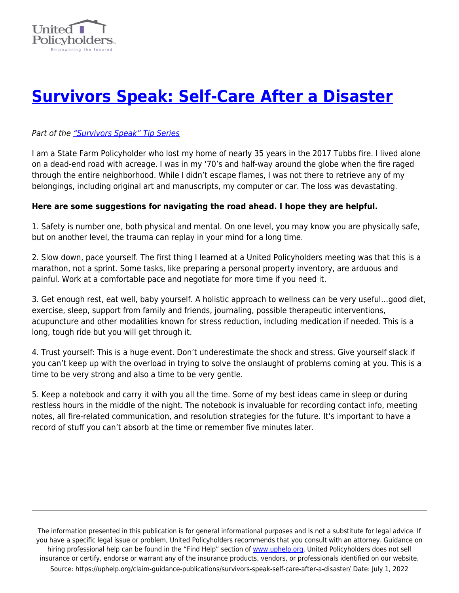

## **[Survivors Speak: Self-Care After a Disaster](https://uphelp.org/claim-guidance-publications/survivors-speak-self-care-after-a-disaster/)**

## Part of the ["Survivors Speak" Tip Series](https://uphelp.org/claim-guidance-publications/survivors-speak-tip-series/)

I am a State Farm Policyholder who lost my home of nearly 35 years in the 2017 Tubbs fire. I lived alone on a dead-end road with acreage. I was in my '70's and half-way around the globe when the fire raged through the entire neighborhood. While I didn't escape flames, I was not there to retrieve any of my belongings, including original art and manuscripts, my computer or car. The loss was devastating.

## **Here are some suggestions for navigating the road ahead. I hope they are helpful.**

1. Safety is number one, both physical and mental. On one level, you may know you are physically safe, but on another level, the trauma can replay in your mind for a long time.

2. Slow down, pace yourself. The first thing I learned at a United Policyholders meeting was that this is a marathon, not a sprint. Some tasks, like preparing a personal property inventory, are arduous and painful. Work at a comfortable pace and negotiate for more time if you need it.

3. Get enough rest, eat well, baby yourself. A holistic approach to wellness can be very useful...good diet, exercise, sleep, support from family and friends, journaling, possible therapeutic interventions, acupuncture and other modalities known for stress reduction, including medication if needed. This is a long, tough ride but you will get through it.

4. Trust yourself: This is a huge event. Don't underestimate the shock and stress. Give yourself slack if you can't keep up with the overload in trying to solve the onslaught of problems coming at you. This is a time to be very strong and also a time to be very gentle.

5. Keep a notebook and carry it with you all the time. Some of my best ideas came in sleep or during restless hours in the middle of the night. The notebook is invaluable for recording contact info, meeting notes, all fire-related communication, and resolution strategies for the future. It's important to have a record of stuff you can't absorb at the time or remember five minutes later.

The information presented in this publication is for general informational purposes and is not a substitute for legal advice. If you have a specific legal issue or problem, United Policyholders recommends that you consult with an attorney. Guidance on hiring professional help can be found in the "Find Help" section of [www.uphelp.org.](http://www.uphelp.org/) United Policyholders does not sell insurance or certify, endorse or warrant any of the insurance products, vendors, or professionals identified on our website. Source: https://uphelp.org/claim-guidance-publications/survivors-speak-self-care-after-a-disaster/ Date: July 1, 2022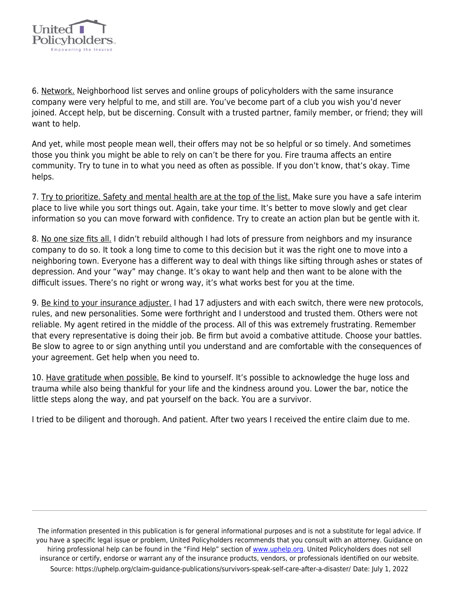

6. Network. Neighborhood list serves and online groups of policyholders with the same insurance company were very helpful to me, and still are. You've become part of a club you wish you'd never joined. Accept help, but be discerning. Consult with a trusted partner, family member, or friend; they will want to help.

And yet, while most people mean well, their offers may not be so helpful or so timely. And sometimes those you think you might be able to rely on can't be there for you. Fire trauma affects an entire community. Try to tune in to what you need as often as possible. If you don't know, that's okay. Time helps.

7. Try to prioritize. Safety and mental health are at the top of the list. Make sure you have a safe interim place to live while you sort things out. Again, take your time. It's better to move slowly and get clear information so you can move forward with confidence. Try to create an action plan but be gentle with it.

8. No one size fits all. I didn't rebuild although I had lots of pressure from neighbors and my insurance company to do so. It took a long time to come to this decision but it was the right one to move into a neighboring town. Everyone has a different way to deal with things like sifting through ashes or states of depression. And your "way" may change. It's okay to want help and then want to be alone with the difficult issues. There's no right or wrong way, it's what works best for you at the time.

9. Be kind to your insurance adjuster. I had 17 adjusters and with each switch, there were new protocols, rules, and new personalities. Some were forthright and I understood and trusted them. Others were not reliable. My agent retired in the middle of the process. All of this was extremely frustrating. Remember that every representative is doing their job. Be firm but avoid a combative attitude. Choose your battles. Be slow to agree to or sign anything until you understand and are comfortable with the consequences of your agreement. Get help when you need to.

10. Have gratitude when possible. Be kind to yourself. It's possible to acknowledge the huge loss and trauma while also being thankful for your life and the kindness around you. Lower the bar, notice the little steps along the way, and pat yourself on the back. You are a survivor.

I tried to be diligent and thorough. And patient. After two years I received the entire claim due to me.

The information presented in this publication is for general informational purposes and is not a substitute for legal advice. If you have a specific legal issue or problem, United Policyholders recommends that you consult with an attorney. Guidance on hiring professional help can be found in the "Find Help" section of [www.uphelp.org.](http://www.uphelp.org/) United Policyholders does not sell insurance or certify, endorse or warrant any of the insurance products, vendors, or professionals identified on our website. Source: https://uphelp.org/claim-guidance-publications/survivors-speak-self-care-after-a-disaster/ Date: July 1, 2022